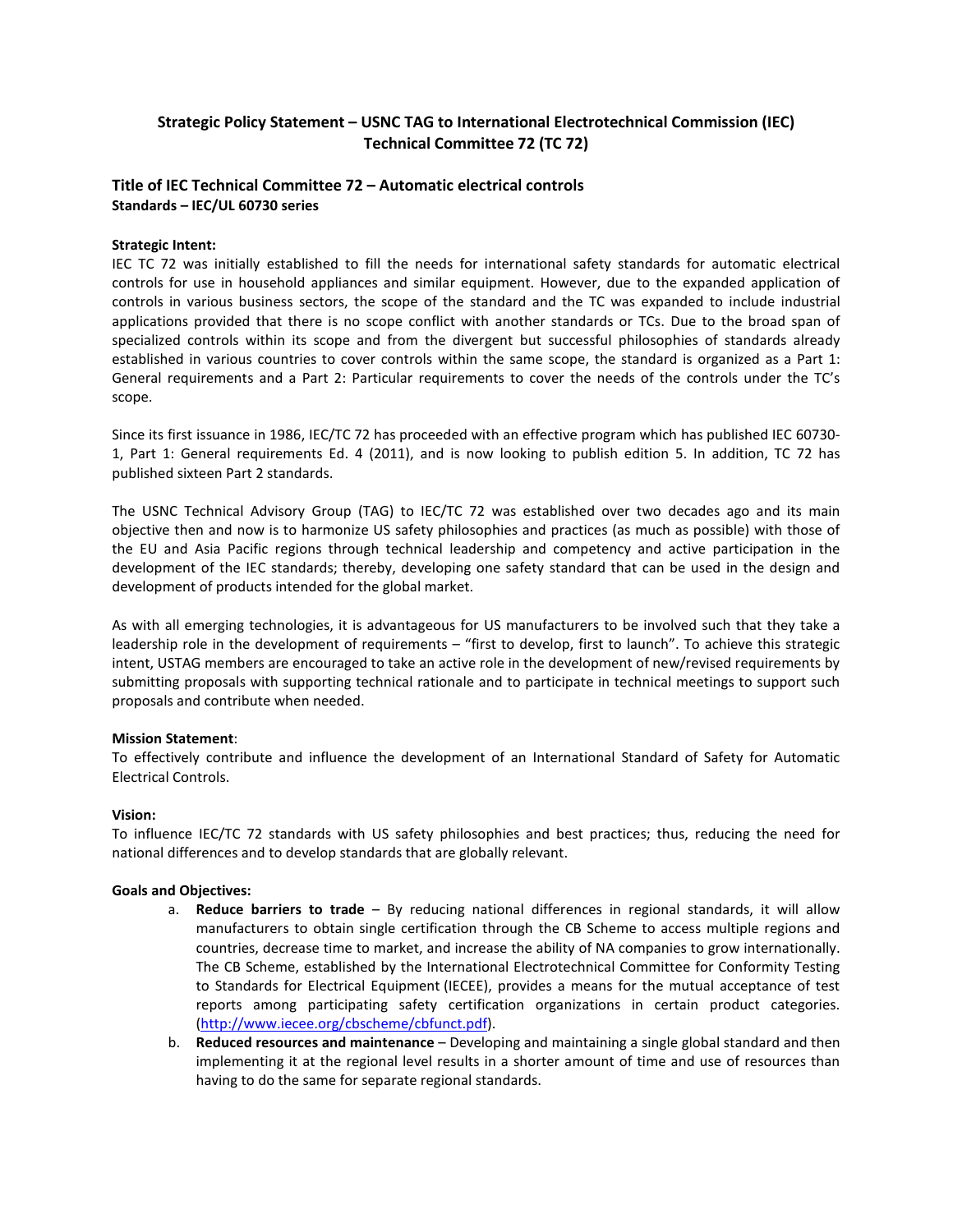# **Strategic Policy Statement – USNC TAG to International Electrotechnical Commission (IEC) Technical Committee 72 (TC 72)**

## **Title of IEC Technical Committee 72 – Automatic electrical controls Standards – IEC/UL 60730 series**

### **Strategic Intent:**

IEC TC 72 was initially established to fill the needs for international safety standards for automatic electrical controls for use in household appliances and similar equipment. However, due to the expanded application of controls in various business sectors, the scope of the standard and the TC was expanded to include industrial applications provided that there is no scope conflict with another standards or TCs. Due to the broad span of specialized controls within its scope and from the divergent but successful philosophies of standards already established in various countries to cover controls within the same scope, the standard is organized as a Part 1: General requirements and a Part 2: Particular requirements to cover the needs of the controls under the TC's scope.

Since its first issuance in 1986, IEC/TC 72 has proceeded with an effective program which has published IEC 60730- 1, Part 1: General requirements Ed. 4 (2011), and is now looking to publish edition 5. In addition, TC 72 has published sixteen Part 2 standards.

The USNC Technical Advisory Group (TAG) to IEC/TC 72 was established over two decades ago and its main objective then and now is to harmonize US safety philosophies and practices (as much as possible) with those of the EU and Asia Pacific regions through technical leadership and competency and active participation in the development of the IEC standards; thereby, developing one safety standard that can be used in the design and development of products intended for the global market.

As with all emerging technologies, it is advantageous for US manufacturers to be involved such that they take a leadership role in the development of requirements – "first to develop, first to launch". To achieve this strategic intent, USTAG members are encouraged to take an active role in the development of new/revised requirements by submitting proposals with supporting technical rationale and to participate in technical meetings to support such proposals and contribute when needed.

#### **Mission Statement**:

To effectively contribute and influence the development of an International Standard of Safety for Automatic Electrical Controls.

#### **Vision:**

To influence IEC/TC 72 standards with US safety philosophies and best practices; thus, reducing the need for national differences and to develop standards that are globally relevant.

#### **Goals and Objectives:**

- a. **Reduce barriers to trade**  By reducing national differences in regional standards, it will allow manufacturers to obtain single certification through the CB Scheme to access multiple regions and countries, decrease time to market, and increase the ability of NA companies to grow internationally. The CB Scheme, established by the International Electrotechnical Committee for Conformity Testing to Standards for Electrical Equipment (IECEE), provides a means for the mutual acceptance of test reports among participating safety certification organizations in certain product categories. [\(http://www.iecee.org/cbscheme/cbfunct.pdf\)](http://www.iecee.org/cbscheme/cbfunct.pdf).
- b. **Reduced resources and maintenance** Developing and maintaining a single global standard and then implementing it at the regional level results in a shorter amount of time and use of resources than having to do the same for separate regional standards.